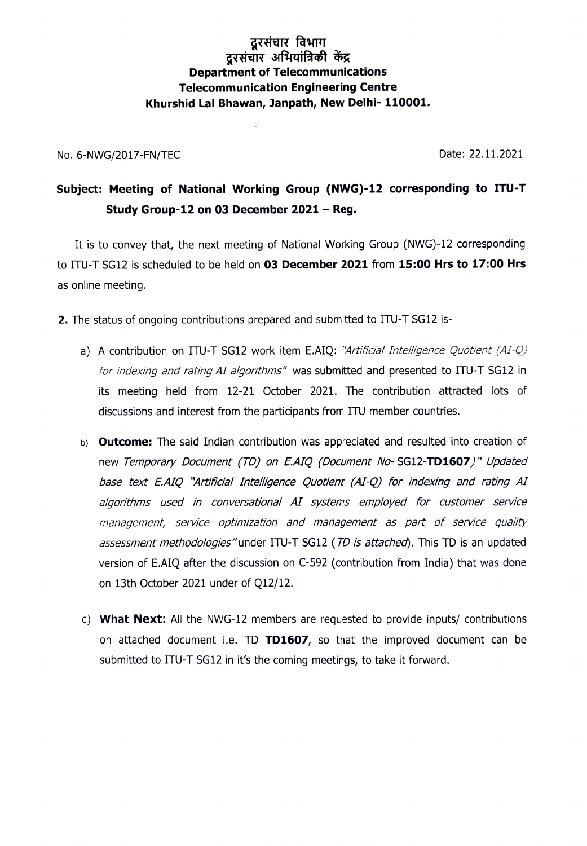## दूरसंचार विभाग दरसंचार अभियांत्रिकी केंद्र Department of Telecommunications Telecommunication Engineering Centre Khurshid Lal Bhawan, Janpath, New Delhi- 110001.

No. 6-NWG/2017-FN/TEC 22.11.2021

## Subject: Meeting of National Working Group (NWG)-12 corresponding to ITU-T Study Group-12 on 03 December  $2021 - Reg.$

It is to convey that, the next meeting of National Working Group (NWG)-12 corresponding to ITU-T SG12 is scheduled to be held on 03 December 2021 from 15:00 Hrs to 17:00 Hrs as online meeting.

- 2. The status of ongoing contributions prepared and submitted to ITU-T SG12 is
	- a) A contribution on ITU-T SG12 work item E.AIQ: "Artificial Intelligence Quotient (AI-Q) for indexing and rating AI algorithms" was submitted and presented to ITU-T SG12 in its meeting held from 12-21 October 2021. The contribution attracted lots of discussions and interest from the participants from ITU member countries.
	- b) **Outcome:** The said Indian contribution was appreciated and resulted into creation of new Temporary Document (TD) on E.AIQ (Document No-SG12-TD1607)" Updated base text EAIQ "Artificial Intelligence Quotient (A1-Q) for indexing and rating Al algorithms used in conversational Al systems employed for customer service management, service optimization and management as part of service quality assessment methodologies"under ITU-T SG12 (TD is attached). This TD is an updated version of E.AIQ after the discussion on C-592 (contribution from India) that was on 13th October 2021 under of Q12/12.
	- c) What Next: All the NWG-12 members are requested to provide inputs/ contributions on attached document i.e. TD TD1607, so that the improved document can be submitted to ITU-T SG12 in it's the coming meetings, to take it forward.